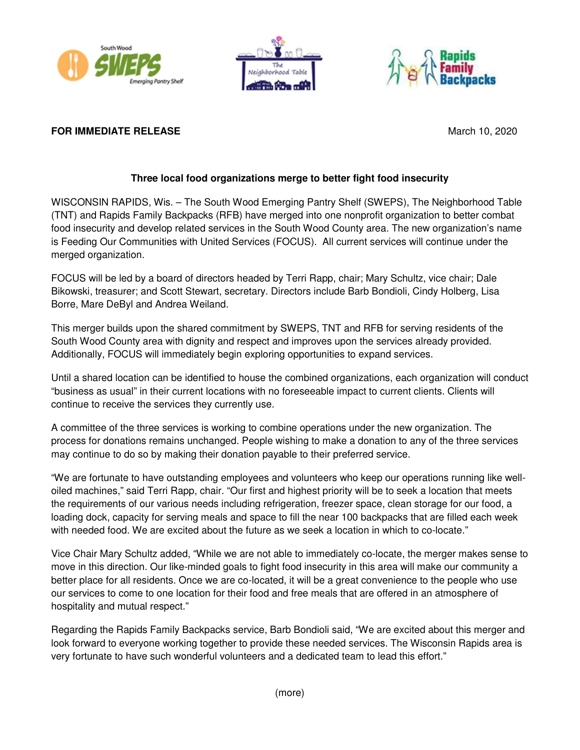





# **FOR IMMEDIATE RELEASE March 10, 2020**

# **Three local food organizations merge to better fight food insecurity**

WISCONSIN RAPIDS, Wis. – The South Wood Emerging Pantry Shelf (SWEPS), The Neighborhood Table (TNT) and Rapids Family Backpacks (RFB) have merged into one nonprofit organization to better combat food insecurity and develop related services in the South Wood County area. The new organization's name is Feeding Our Communities with United Services (FOCUS). All current services will continue under the merged organization.

FOCUS will be led by a board of directors headed by Terri Rapp, chair; Mary Schultz, vice chair; Dale Bikowski, treasurer; and Scott Stewart, secretary. Directors include Barb Bondioli, Cindy Holberg, Lisa Borre, Mare DeByl and Andrea Weiland.

This merger builds upon the shared commitment by SWEPS, TNT and RFB for serving residents of the South Wood County area with dignity and respect and improves upon the services already provided. Additionally, FOCUS will immediately begin exploring opportunities to expand services.

Until a shared location can be identified to house the combined organizations, each organization will conduct "business as usual" in their current locations with no foreseeable impact to current clients. Clients will continue to receive the services they currently use.

A committee of the three services is working to combine operations under the new organization. The process for donations remains unchanged. People wishing to make a donation to any of the three services may continue to do so by making their donation payable to their preferred service.

"We are fortunate to have outstanding employees and volunteers who keep our operations running like welloiled machines," said Terri Rapp, chair. "Our first and highest priority will be to seek a location that meets the requirements of our various needs including refrigeration, freezer space, clean storage for our food, a loading dock, capacity for serving meals and space to fill the near 100 backpacks that are filled each week with needed food. We are excited about the future as we seek a location in which to co-locate."

Vice Chair Mary Schultz added, "While we are not able to immediately co-locate, the merger makes sense to move in this direction. Our like-minded goals to fight food insecurity in this area will make our community a better place for all residents. Once we are co-located, it will be a great convenience to the people who use our services to come to one location for their food and free meals that are offered in an atmosphere of hospitality and mutual respect."

Regarding the Rapids Family Backpacks service, Barb Bondioli said, "We are excited about this merger and look forward to everyone working together to provide these needed services. The Wisconsin Rapids area is very fortunate to have such wonderful volunteers and a dedicated team to lead this effort."